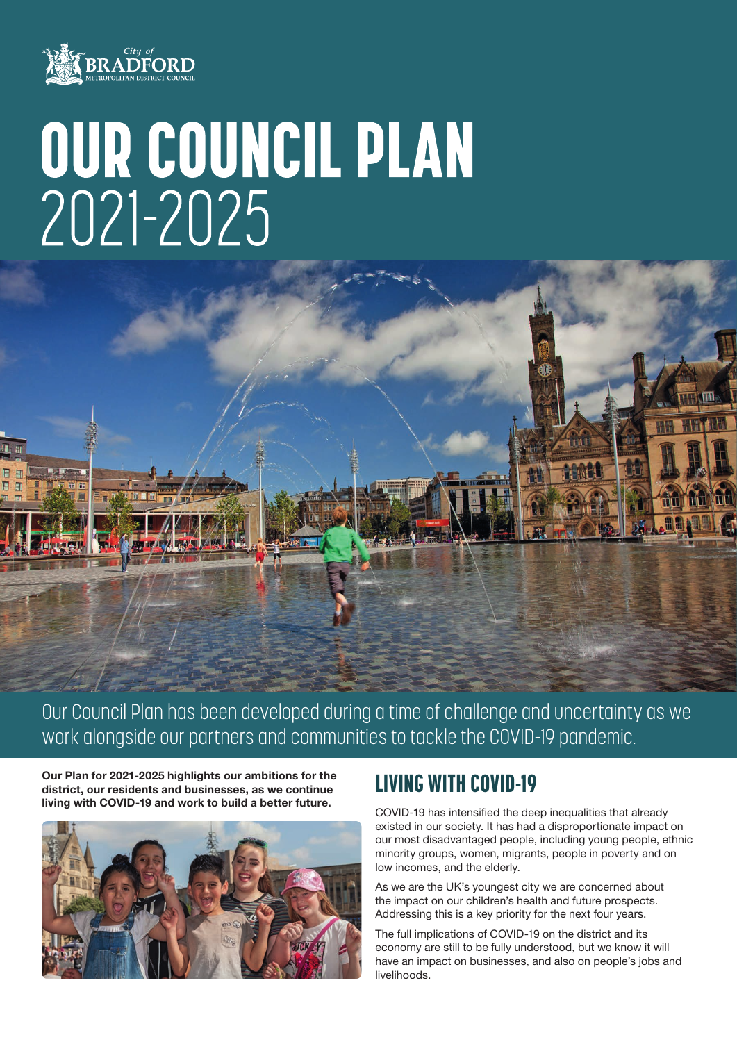

# OUR COUNCIL PLAN 2021-2025

Our Council Plan has been developed during a time of challenge and uncertainty as we work alongside our partners and communities to tackle the COVID-19 pandemic.

Our Plan for 2021-2025 highlights our ambitions for the district, our residents and businesses, as we continue living with COVID-19 and work to build a better future.



# LIVING WITH COVID-19

COVID-19 has intensified the deep inequalities that already existed in our society. It has had a disproportionate impact on our most disadvantaged people, including young people, ethnic minority groups, women, migrants, people in poverty and on low incomes, and the elderly.

As we are the UK's youngest city we are concerned about the impact on our children's health and future prospects. Addressing this is a key priority for the next four years.

The full implications of COVID-19 on the district and its economy are still to be fully understood, but we know it will have an impact on businesses, and also on people's jobs and livelihoods.